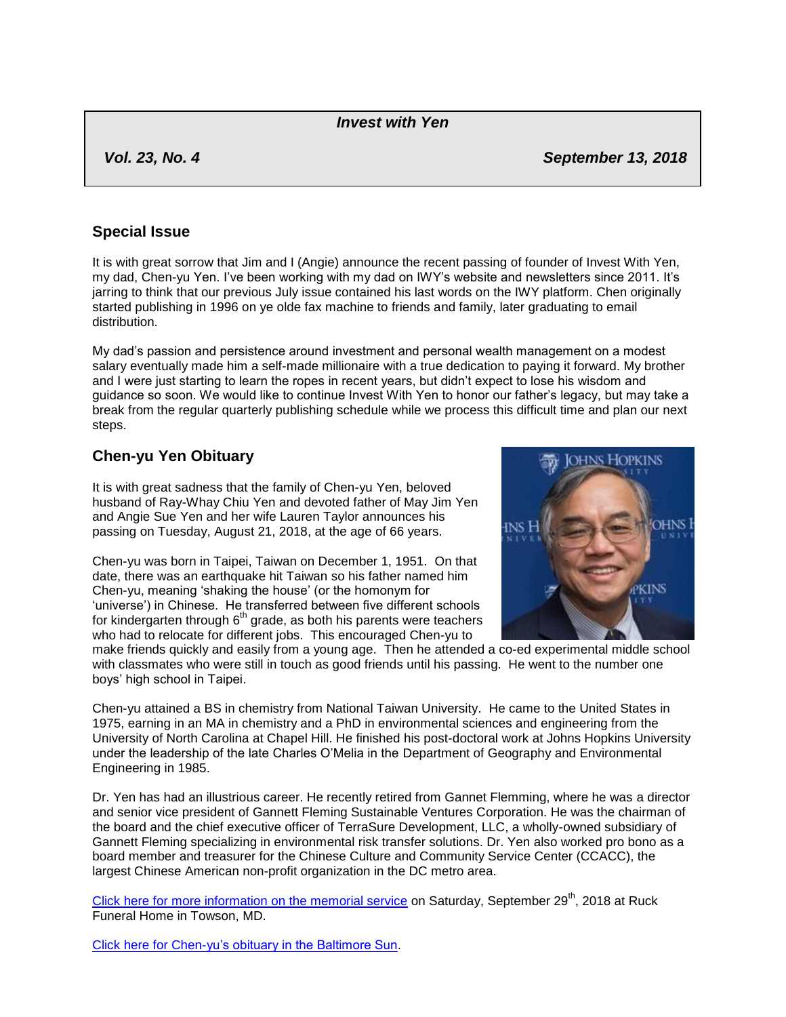#### *Invest with Yen*

*Vol. 23, No. 4 September 13, 2018*

## **Special Issue**

It is with great sorrow that Jim and I (Angie) announce the recent passing of founder of Invest With Yen, my dad, Chen-yu Yen. I"ve been working with my dad on IWY"s website and newsletters since 2011. It"s jarring to think that our previous July issue contained his last words on the IWY platform. Chen originally started publishing in 1996 on ye olde fax machine to friends and family, later graduating to email distribution.

My dad"s passion and persistence around investment and personal wealth management on a modest salary eventually made him a self-made millionaire with a true dedication to paying it forward. My brother and I were just starting to learn the ropes in recent years, but didn"t expect to lose his wisdom and guidance so soon. We would like to continue Invest With Yen to honor our father"s legacy, but may take a break from the regular quarterly publishing schedule while we process this difficult time and plan our next steps.

# **Chen-yu Yen Obituary**

It is with great sadness that the family of Chen-yu Yen, beloved husband of Ray-Whay Chiu Yen and devoted father of May Jim Yen and Angie Sue Yen and her wife Lauren Taylor announces his passing on Tuesday, August 21, 2018, at the age of 66 years.

Chen-yu was born in Taipei, Taiwan on December 1, 1951. On that date, there was an earthquake hit Taiwan so his father named him Chen-yu, meaning "shaking the house" (or the homonym for 'universe') in Chinese. He transferred between five different schools for kindergarten through  $6<sup>th</sup>$  grade, as both his parents were teachers who had to relocate for different jobs. This encouraged Chen-yu to



make friends quickly and easily from a young age. Then he attended a co-ed experimental middle school with classmates who were still in touch as good friends until his passing. He went to the number one boys" high school in Taipei.

Chen-yu attained a BS in chemistry from National Taiwan University. He came to the United States in 1975, earning in an MA in chemistry and a PhD in environmental sciences and engineering from the University of North Carolina at Chapel Hill. He finished his post-doctoral work at Johns Hopkins University under the leadership of the late Charles O"Melia in the Department of Geography and Environmental Engineering in 1985.

Dr. Yen has had an illustrious career. He recently retired from Gannet Flemming, where he was a director and senior vice president of Gannett Fleming Sustainable Ventures Corporation. He was the chairman of the board and the chief executive officer of TerraSure Development, LLC, a wholly-owned subsidiary of Gannett Fleming specializing in environmental risk transfer solutions. Dr. Yen also worked pro bono as a board member and treasurer for the Chinese Culture and Community Service Center (CCACC), the largest Chinese American non-profit organization in the DC metro area.

[Click here for more information on the memorial service](http://www.ruckfuneral.com/obituary/chen-yu-yen) on Saturday, September 29<sup>th</sup>, 2018 at Ruck Funeral Home in Towson, MD.

[Click here for Chen-yu"s obituary in the Baltimore Sun.](http://www.baltimoresun.com/news/obituaries/bs-md-ob-yen-20180903-story.html)